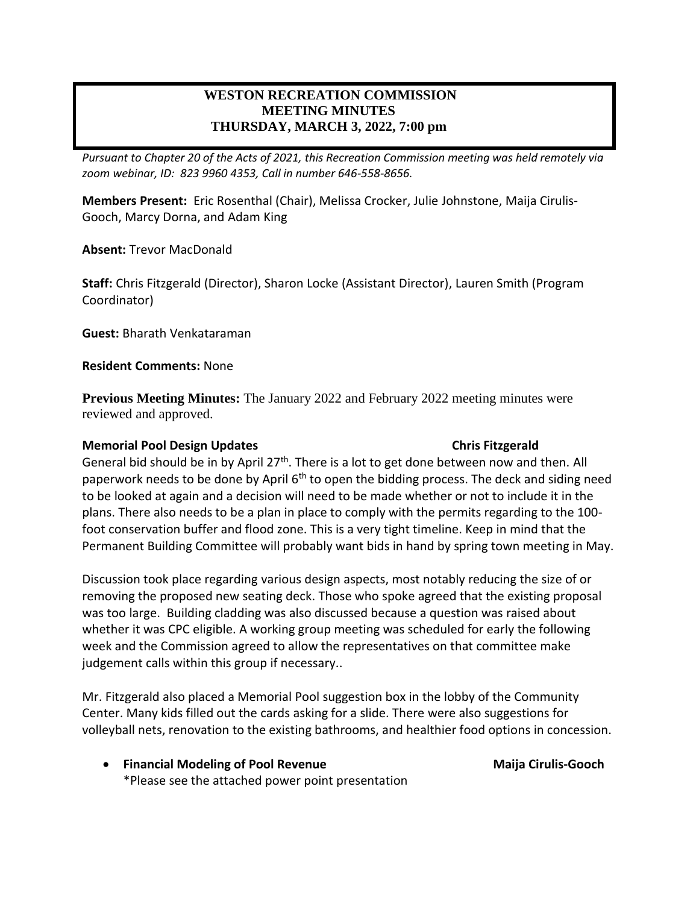# **WESTON RECREATION COMMISSION MEETING MINUTES THURSDAY, MARCH 3, 2022, 7:00 pm**

*Pursuant to Chapter 20 of the Acts of 2021, this Recreation Commission meeting was held remotely via zoom webinar, ID: 823 9960 4353, Call in number 646-558-8656.*

**Members Present:** Eric Rosenthal (Chair), Melissa Crocker, Julie Johnstone, Maija Cirulis-Gooch, Marcy Dorna, and Adam King

**Absent:** Trevor MacDonald

**Staff:** Chris Fitzgerald (Director), Sharon Locke (Assistant Director), Lauren Smith (Program Coordinator)

**Guest:** Bharath Venkataraman

**Resident Comments:** None

**Previous Meeting Minutes:** The January 2022 and February 2022 meeting minutes were reviewed and approved.

### **Memorial Pool Design Updates Chris Fitzgerald**

General bid should be in by April  $27<sup>th</sup>$ . There is a lot to get done between now and then. All paperwork needs to be done by April  $6<sup>th</sup>$  to open the bidding process. The deck and siding need to be looked at again and a decision will need to be made whether or not to include it in the plans. There also needs to be a plan in place to comply with the permits regarding to the 100 foot conservation buffer and flood zone. This is a very tight timeline. Keep in mind that the Permanent Building Committee will probably want bids in hand by spring town meeting in May.

Discussion took place regarding various design aspects, most notably reducing the size of or removing the proposed new seating deck. Those who spoke agreed that the existing proposal was too large. Building cladding was also discussed because a question was raised about whether it was CPC eligible. A working group meeting was scheduled for early the following week and the Commission agreed to allow the representatives on that committee make judgement calls within this group if necessary..

Mr. Fitzgerald also placed a Memorial Pool suggestion box in the lobby of the Community Center. Many kids filled out the cards asking for a slide. There were also suggestions for volleyball nets, renovation to the existing bathrooms, and healthier food options in concession.

• **Financial Modeling of Pool Revenue Maija Cirulis-Gooch** \*Please see the attached power point presentation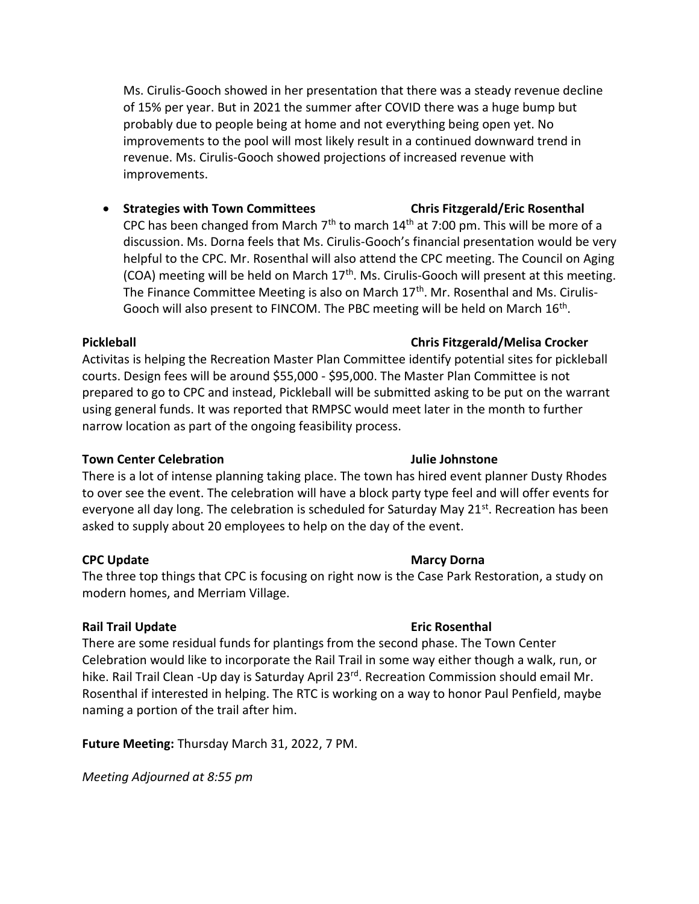Ms. Cirulis-Gooch showed in her presentation that there was a steady revenue decline of 15% per year. But in 2021 the summer after COVID there was a huge bump but probably due to people being at home and not everything being open yet. No improvements to the pool will most likely result in a continued downward trend in revenue. Ms. Cirulis-Gooch showed projections of increased revenue with improvements.

• **Strategies with Town Committees Chris Fitzgerald/Eric Rosenthal** CPC has been changed from March  $7<sup>th</sup>$  to march 14<sup>th</sup> at 7:00 pm. This will be more of a discussion. Ms. Dorna feels that Ms. Cirulis-Gooch's financial presentation would be very helpful to the CPC. Mr. Rosenthal will also attend the CPC meeting. The Council on Aging (COA) meeting will be held on March  $17<sup>th</sup>$ . Ms. Cirulis-Gooch will present at this meeting. The Finance Committee Meeting is also on March  $17<sup>th</sup>$ . Mr. Rosenthal and Ms. Cirulis-Gooch will also present to FINCOM. The PBC meeting will be held on March  $16<sup>th</sup>$ .

Activitas is helping the Recreation Master Plan Committee identify potential sites for pickleball courts. Design fees will be around \$55,000 - \$95,000. The Master Plan Committee is not prepared to go to CPC and instead, Pickleball will be submitted asking to be put on the warrant using general funds. It was reported that RMPSC would meet later in the month to further narrow location as part of the ongoing feasibility process.

### **Town Center Celebration Julie Johnstone**

There is a lot of intense planning taking place. The town has hired event planner Dusty Rhodes to over see the event. The celebration will have a block party type feel and will offer events for everyone all day long. The celebration is scheduled for Saturday May 21<sup>st</sup>. Recreation has been asked to supply about 20 employees to help on the day of the event.

### **CPC Update Marcy Dorna Marcy Dorna Marcy Dorna**

The three top things that CPC is focusing on right now is the Case Park Restoration, a study on modern homes, and Merriam Village.

### **Rail Trail Update Eric Rosenthal**

There are some residual funds for plantings from the second phase. The Town Center Celebration would like to incorporate the Rail Trail in some way either though a walk, run, or hike. Rail Trail Clean -Up day is Saturday April 23<sup>rd</sup>. Recreation Commission should email Mr. Rosenthal if interested in helping. The RTC is working on a way to honor Paul Penfield, maybe naming a portion of the trail after him.

**Future Meeting:** Thursday March 31, 2022, 7 PM.

*Meeting Adjourned at 8:55 pm*

# **Pickleball Chris Fitzgerald/Melisa Crocker**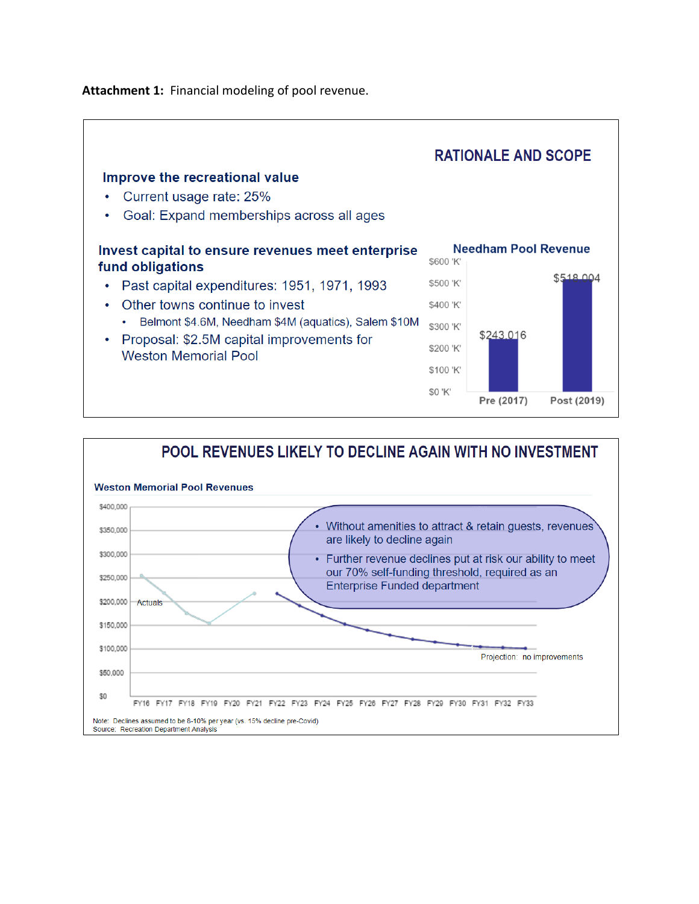**Attachment 1:** Financial modeling of pool revenue.